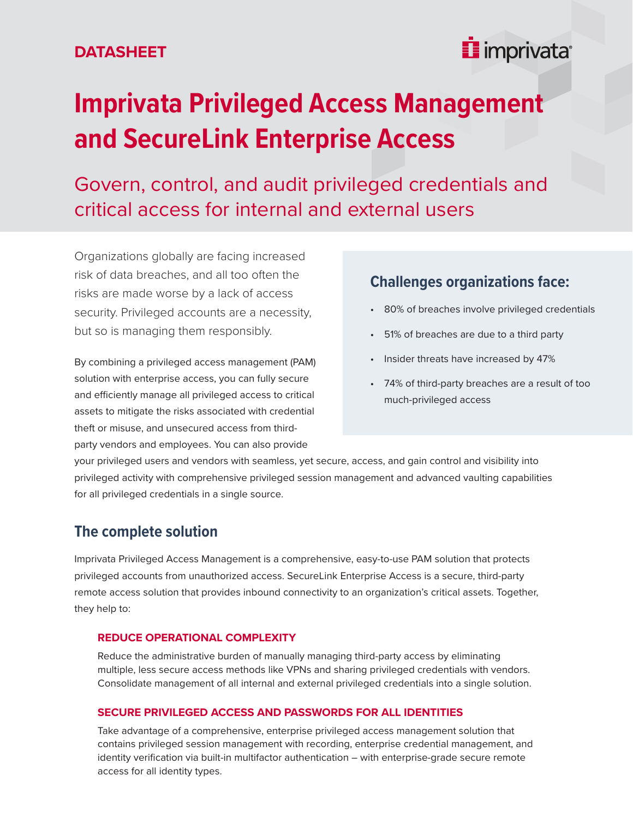## **DATASHEET**

## inprivata<sup>®</sup>

# **Imprivata Privileged Access Management and SecureLink Enterprise Access**

Govern, control, and audit privileged credentials and critical access for internal and external users

Organizations globally are facing increased risk of data breaches, and all too often the risks are made worse by a lack of access security. Privileged accounts are a necessity, but so is managing them responsibly.

By combining a privileged access management (PAM) solution with enterprise access, you can fully secure and efficiently manage all privileged access to critical assets to mitigate the risks associated with credential theft or misuse, and unsecured access from thirdparty vendors and employees. You can also provide

## **Challenges organizations face:**

- 80% of breaches involve privileged credentials
- 51% of breaches are due to a third party
- Insider threats have increased by 47%
- 74% of third-party breaches are a result of too much-privileged access

your privileged users and vendors with seamless, yet secure, access, and gain control and visibility into privileged activity with comprehensive privileged session management and advanced vaulting capabilities for all privileged credentials in a single source.

## **The complete solution**

Imprivata Privileged Access Management is a comprehensive, easy-to-use PAM solution that protects privileged accounts from unauthorized access. SecureLink Enterprise Access is a secure, third-party remote access solution that provides inbound connectivity to an organization's critical assets. Together, they help to:

#### **REDUCE OPERATIONAL COMPLEXITY**

Reduce the administrative burden of manually managing third-party access by eliminating multiple, less secure access methods like VPNs and sharing privileged credentials with vendors. Consolidate management of all internal and external privileged credentials into a single solution.

#### **SECURE PRIVILEGED ACCESS AND PASSWORDS FOR ALL IDENTITIES**

Take advantage of a comprehensive, enterprise privileged access management solution that contains privileged session management with recording, enterprise credential management, and identity verification via built-in multifactor authentication – with enterprise-grade secure remote access for all identity types.